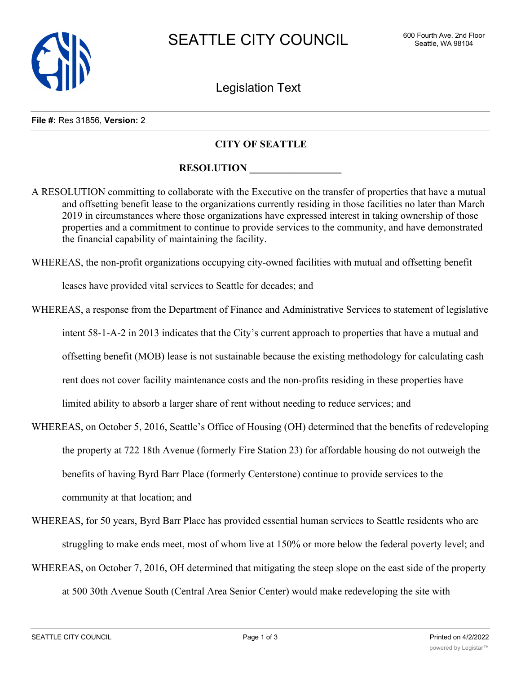

Legislation Text

## **File #:** Res 31856, **Version:** 2

## **CITY OF SEATTLE**

## **RESOLUTION**

A RESOLUTION committing to collaborate with the Executive on the transfer of properties that have a mutual and offsetting benefit lease to the organizations currently residing in those facilities no later than March 2019 in circumstances where those organizations have expressed interest in taking ownership of those properties and a commitment to continue to provide services to the community, and have demonstrated the financial capability of maintaining the facility.

WHEREAS, the non-profit organizations occupying city-owned facilities with mutual and offsetting benefit

leases have provided vital services to Seattle for decades; and

- WHEREAS, a response from the Department of Finance and Administrative Services to statement of legislative intent 58-1-A-2 in 2013 indicates that the City's current approach to properties that have a mutual and offsetting benefit (MOB) lease is not sustainable because the existing methodology for calculating cash rent does not cover facility maintenance costs and the non-profits residing in these properties have limited ability to absorb a larger share of rent without needing to reduce services; and
- WHEREAS, on October 5, 2016, Seattle's Office of Housing (OH) determined that the benefits of redeveloping the property at 722 18th Avenue (formerly Fire Station 23) for affordable housing do not outweigh the benefits of having Byrd Barr Place (formerly Centerstone) continue to provide services to the community at that location; and
- WHEREAS, for 50 years, Byrd Barr Place has provided essential human services to Seattle residents who are struggling to make ends meet, most of whom live at 150% or more below the federal poverty level; and
- WHEREAS, on October 7, 2016, OH determined that mitigating the steep slope on the east side of the property at 500 30th Avenue South (Central Area Senior Center) would make redeveloping the site with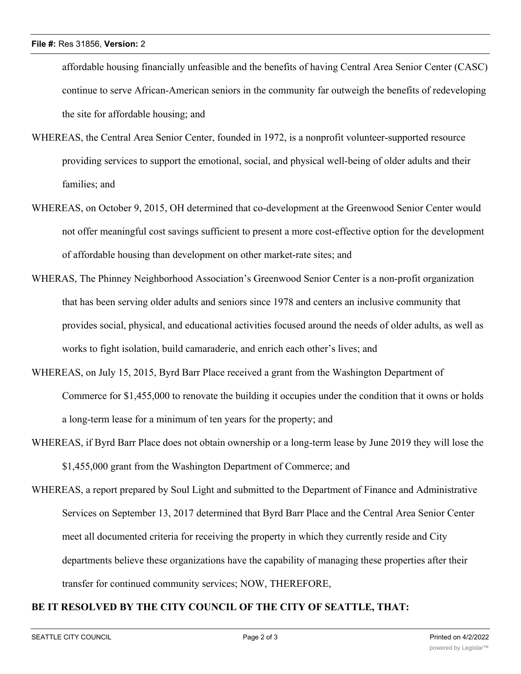affordable housing financially unfeasible and the benefits of having Central Area Senior Center (CASC) continue to serve African-American seniors in the community far outweigh the benefits of redeveloping the site for affordable housing; and

- WHEREAS, the Central Area Senior Center, founded in 1972, is a nonprofit volunteer-supported resource providing services to support the emotional, social, and physical well-being of older adults and their families; and
- WHEREAS, on October 9, 2015, OH determined that co-development at the Greenwood Senior Center would not offer meaningful cost savings sufficient to present a more cost-effective option for the development of affordable housing than development on other market-rate sites; and
- WHERAS, The Phinney Neighborhood Association's Greenwood Senior Center is a non-profit organization that has been serving older adults and seniors since 1978 and centers an inclusive community that provides social, physical, and educational activities focused around the needs of older adults, as well as works to fight isolation, build camaraderie, and enrich each other's lives; and
- WHEREAS, on July 15, 2015, Byrd Barr Place received a grant from the Washington Department of Commerce for \$1,455,000 to renovate the building it occupies under the condition that it owns or holds a long-term lease for a minimum of ten years for the property; and
- WHEREAS, if Byrd Barr Place does not obtain ownership or a long-term lease by June 2019 they will lose the \$1,455,000 grant from the Washington Department of Commerce; and
- WHEREAS, a report prepared by Soul Light and submitted to the Department of Finance and Administrative Services on September 13, 2017 determined that Byrd Barr Place and the Central Area Senior Center meet all documented criteria for receiving the property in which they currently reside and City departments believe these organizations have the capability of managing these properties after their transfer for continued community services; NOW, THEREFORE,

## **BE IT RESOLVED BY THE CITY COUNCIL OF THE CITY OF SEATTLE, THAT:**